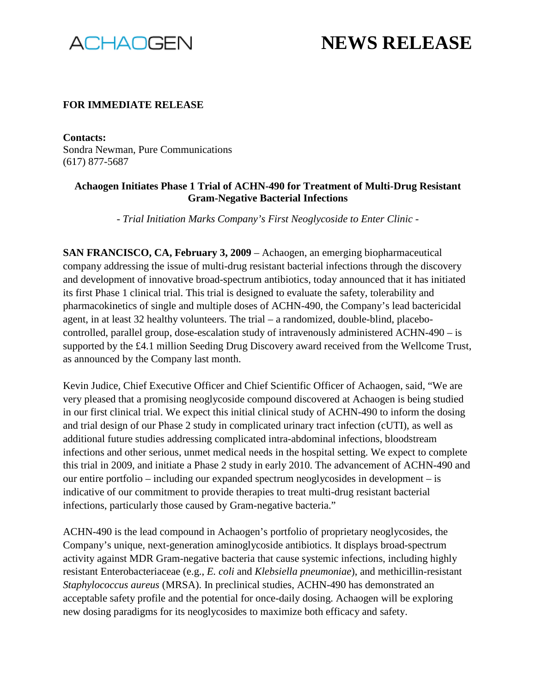

## **NEWS RELEASE**

## **FOR IMMEDIATE RELEASE**

**Contacts:** Sondra Newman, Pure Communications (617) 877-5687

## **Achaogen Initiates Phase 1 Trial of ACHN-490 for Treatment of Multi-Drug Resistant Gram-Negative Bacterial Infections**

*- Trial Initiation Marks Company's First Neoglycoside to Enter Clinic -*

**SAN FRANCISCO, CA, February 3, 2009** – Achaogen, an emerging biopharmaceutical company addressing the issue of multi-drug resistant bacterial infections through the discovery and development of innovative broad-spectrum antibiotics, today announced that it has initiated its first Phase 1 clinical trial. This trial is designed to evaluate the safety, tolerability and pharmacokinetics of single and multiple doses of ACHN-490, the Company's lead bactericidal agent, in at least 32 healthy volunteers. The trial – a randomized, double-blind, placebocontrolled, parallel group, dose-escalation study of intravenously administered ACHN-490 – is supported by the £4.1 million Seeding Drug Discovery award received from the Wellcome Trust, as announced by the Company last month.

Kevin Judice, Chief Executive Officer and Chief Scientific Officer of Achaogen, said, "We are very pleased that a promising neoglycoside compound discovered at Achaogen is being studied in our first clinical trial. We expect this initial clinical study of ACHN-490 to inform the dosing and trial design of our Phase 2 study in complicated urinary tract infection (cUTI), as well as additional future studies addressing complicated intra-abdominal infections, bloodstream infections and other serious, unmet medical needs in the hospital setting. We expect to complete this trial in 2009, and initiate a Phase 2 study in early 2010. The advancement of ACHN-490 and our entire portfolio – including our expanded spectrum neoglycosides in development – is indicative of our commitment to provide therapies to treat multi-drug resistant bacterial infections, particularly those caused by Gram-negative bacteria."

ACHN-490 is the lead compound in Achaogen's portfolio of proprietary neoglycosides, the Company's unique, next-generation aminoglycoside antibiotics. It displays broad-spectrum activity against MDR Gram-negative bacteria that cause systemic infections, including highly resistant Enterobacteriaceae (e.g., *E. coli* and *Klebsiella pneumoniae*), and methicillin-resistant *Staphylococcus aureus* (MRSA). In preclinical studies, ACHN-490 has demonstrated an acceptable safety profile and the potential for once-daily dosing. Achaogen will be exploring new dosing paradigms for its neoglycosides to maximize both efficacy and safety.